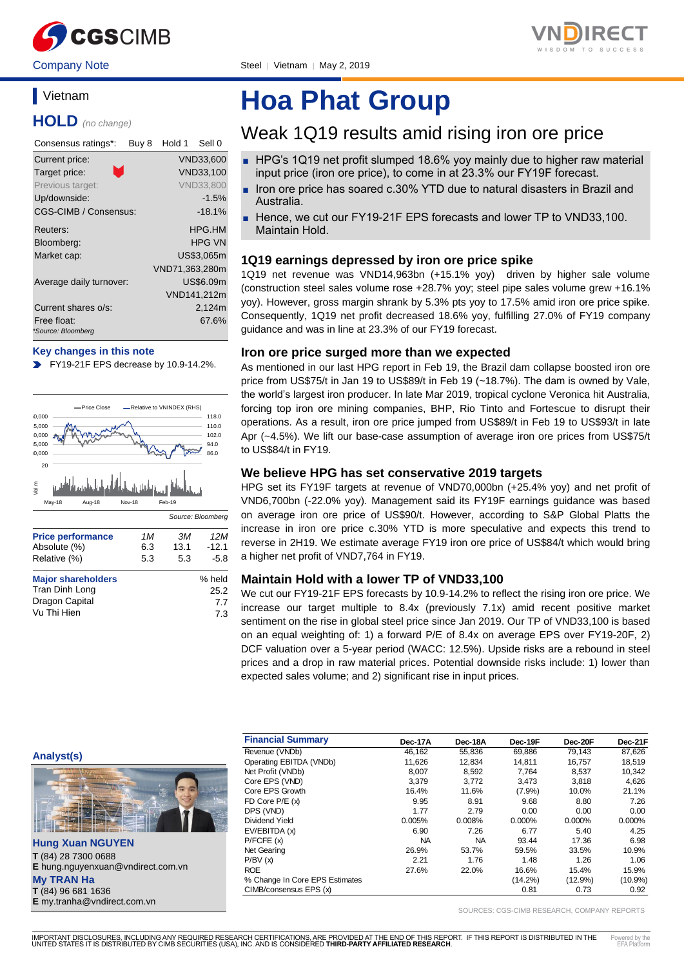



Company Note Steel | Vietnam | May 2, 2019

# **Vietnam**

**HOLD** *(no change)*

| Consensus ratings*:               | Buy 8 | Hold 1         | Sell 0           |
|-----------------------------------|-------|----------------|------------------|
| Current price:                    |       |                | <b>VND33,600</b> |
| m,<br>Target price:               |       |                | VND33,100        |
| Previous target:                  |       |                | <b>VND33,800</b> |
| Up/downside:                      |       |                | $-1.5%$          |
| CGS-CIMB / Consensus:             |       |                | $-18.1%$         |
| Reuters:                          |       |                | HPG.HM           |
| Bloomberg:                        |       |                | HPG VN           |
| Market cap:                       |       |                | US\$3.065m       |
|                                   |       | VND71.363.280m |                  |
| Average daily turnover:           |       |                | US\$6.09m        |
|                                   |       |                | VND141,212m      |
| Current shares o/s:               |       |                | 2,124m           |
| Free float:<br>*Source: Bloomberg |       |                | 67.6%            |

#### **Key changes in this note**

FY19-21F EPS decrease by 10.9-14.2%.



# **Hoa Phat Group**

# Weak 1Q19 results amid rising iron ore price

- HPG's 1Q19 net profit slumped 18.6% yoy mainly due to higher raw material input price (iron ore price), to come in at 23.3% our FY19F forecast.
- Iron ore price has soared c.30% YTD due to natural disasters in Brazil and Australia.
- Hence, we cut our FY19-21F EPS forecasts and lower TP to VND33,100. Maintain Hold.

## **1Q19 earnings depressed by iron ore price spike**

1Q19 net revenue was VND14,963bn (+15.1% yoy) driven by higher sale volume (construction steel sales volume rose +28.7% yoy; steel pipe sales volume grew +16.1% yoy). However, gross margin shrank by 5.3% pts yoy to 17.5% amid iron ore price spike. Consequently, 1Q19 net profit decreased 18.6% yoy, fulfilling 27.0% of FY19 company guidance and was in line at 23.3% of our FY19 forecast.

### **Iron ore price surged more than we expected**

As mentioned in our last HPG report in Feb 19, the Brazil dam collapse boosted iron ore price from US\$75/t in Jan 19 to US\$89/t in Feb 19 (~18.7%). The dam is owned by Vale, the world's largest iron producer. In late Mar 2019, tropical cyclone Veronica hit Australia, forcing top iron ore mining companies, BHP, Rio Tinto and Fortescue to disrupt their operations. As a result, iron ore price jumped from US\$89/t in Feb 19 to US\$93/t in late Apr (~4.5%). We lift our base-case assumption of average iron ore prices from US\$75/t to US\$84/t in FY19.

## **We believe HPG has set conservative 2019 targets**

HPG set its FY19F targets at revenue of VND70,000bn (+25.4% yoy) and net profit of VND6,700bn (-22.0% yoy). Management said its FY19F earnings guidance was based on average iron ore price of US\$90/t. However, according to S&P Global Platts the increase in iron ore price c.30% YTD is more speculative and expects this trend to reverse in 2H19. We estimate average FY19 iron ore price of US\$84/t which would bring a higher net profit of VND7,764 in FY19.

## **Maintain Hold with a lower TP of VND33,100**

We cut our FY19-21F EPS forecasts by 10.9-14.2% to reflect the rising iron ore price. We increase our target multiple to 8.4x (previously 7.1x) amid recent positive market sentiment on the rise in global steel price since Jan 2019. Our TP of VND33,100 is based on an equal weighting of: 1) a forward P/E of 8.4x on average EPS over FY19-20F, 2) DCF valuation over a 5-year period (WACC: 12.5%). Upside risks are a rebound in steel prices and a drop in raw material prices. Potential downside risks include: 1) lower than expected sales volume; and 2) significant rise in input prices.

**Analyst(s)**



**Hung Xuan NGUYEN T** (84) 28 7300 0688 **E** hung.nguyenxuan@vndirect.com.vn **My TRAN Ha T** (84) 96 681 1636 **E** my.tranha@vndirect.com.vn

| <b>Financial Summary</b>       | Dec-17A   | Dec-18A   | Dec-19F    | Dec-20F    | Dec-21F    |
|--------------------------------|-----------|-----------|------------|------------|------------|
| Revenue (VNDb)                 | 46.162    | 55.836    | 69.886     | 79.143     | 87,626     |
| Operating EBITDA (VNDb)        | 11,626    | 12.834    | 14.811     | 16.757     | 18,519     |
| Net Profit (VNDb)              | 8,007     | 8,592     | 7.764      | 8,537      | 10,342     |
| Core EPS (VND)                 | 3,379     | 3.772     | 3,473      | 3.818      | 4,626      |
| Core EPS Growth                | 16.4%     | 11.6%     | $(7.9\%)$  | 10.0%      | 21.1%      |
| $FD$ Core $P/E$ $(x)$          | 9.95      | 8.91      | 9.68       | 8.80       | 7.26       |
| DPS (VND)                      | 1.77      | 2.79      | 0.00       | 0.00       | 0.00       |
| Dividend Yield                 | 0.005%    | 0.008%    | $0.000\%$  | $0.000\%$  | $0.000\%$  |
| EV/EBITDA (x)                  | 6.90      | 7.26      | 6.77       | 5.40       | 4.25       |
| P/FCFE(x)                      | <b>NA</b> | <b>NA</b> | 93.44      | 17.36      | 6.98       |
| Net Gearing                    | 26.9%     | 53.7%     | 59.5%      | 33.5%      | 10.9%      |
| P/BV(x)                        | 2.21      | 1.76      | 1.48       | 1.26       | 1.06       |
| <b>ROE</b>                     | 27.6%     | 22.0%     | 16.6%      | 15.4%      | 15.9%      |
| % Change In Core EPS Estimates |           |           | $(14.2\%)$ | $(12.9\%)$ | $(10.9\%)$ |
| CIMB/consensus EPS (x)         |           |           | 0.81       | 0.73       | 0.92       |

SOURCES: CGS-CIMB RESEARCH, COMPANY REPORTS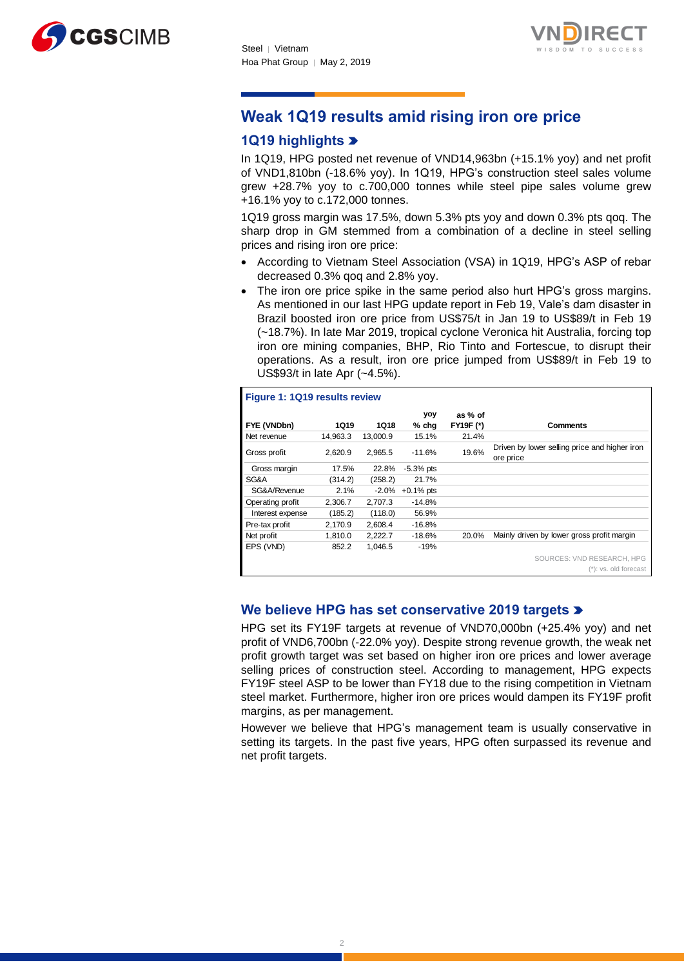



# **Weak 1Q19 results amid rising iron ore price**

## **1Q19 highlights**

In 1Q19, HPG posted net revenue of VND14,963bn (+15.1% yoy) and net profit of VND1,810bn (-18.6% yoy). In 1Q19, HPG's construction steel sales volume grew +28.7% yoy to c.700,000 tonnes while steel pipe sales volume grew +16.1% yoy to c.172,000 tonnes.

1Q19 gross margin was 17.5%, down 5.3% pts yoy and down 0.3% pts qoq. The sharp drop in GM stemmed from a combination of a decline in steel selling prices and rising iron ore price:

- According to Vietnam Steel Association (VSA) in 1Q19, HPG's ASP of rebar decreased 0.3% qoq and 2.8% yoy.
- The iron ore price spike in the same period also hurt HPG's gross margins. As mentioned in our last HPG update report in Feb 19, Vale's dam disaster in Brazil boosted iron ore price from US\$75/t in Jan 19 to US\$89/t in Feb 19 (~18.7%). In late Mar 2019, tropical cyclone Veronica hit Australia, forcing top iron ore mining companies, BHP, Rio Tinto and Fortescue, to disrupt their operations. As a result, iron ore price jumped from US\$89/t in Feb 19 to US\$93/t in late Apr (~4.5%).

|                  | Figure 1: 1Q19 results review |          |              |                  |                                                            |  |  |
|------------------|-------------------------------|----------|--------------|------------------|------------------------------------------------------------|--|--|
|                  |                               |          | yoy          | as % of          |                                                            |  |  |
| FYE (VNDbn)      | 1Q19                          | 1Q18     | % chq        | <b>FY19F (*)</b> | Comments                                                   |  |  |
| Net revenue      | 14.963.3                      | 13.000.9 | 15.1%        | 21.4%            |                                                            |  |  |
| Gross profit     | 2,620.9                       | 2,965.5  | $-11.6%$     | 19.6%            | Driven by lower selling price and higher iron<br>ore price |  |  |
| Gross margin     | 17.5%                         | 22.8%    | $-5.3%$ pts  |                  |                                                            |  |  |
| SG&A             | (314.2)                       | (258.2)  | 21.7%        |                  |                                                            |  |  |
| SG&A/Revenue     | $2.1\%$                       | $-2.0\%$ | $+0.1\%$ pts |                  |                                                            |  |  |
| Operating profit | 2,306.7                       | 2.707.3  | $-14.8%$     |                  |                                                            |  |  |
| Interest expense | (185.2)                       | (118.0)  | 56.9%        |                  |                                                            |  |  |
| Pre-tax profit   | 2,170.9                       | 2,608.4  | $-16.8%$     |                  |                                                            |  |  |
| Net profit       | 1,810.0                       | 2,222.7  | $-18.6%$     | 20.0%            | Mainly driven by lower gross profit margin                 |  |  |
| EPS (VND)        | 852.2                         | 1,046.5  | $-19%$       |                  |                                                            |  |  |
|                  |                               |          |              |                  | SOURCES: VND RESEARCH, HPG                                 |  |  |
|                  |                               |          |              |                  | (*): vs. old forecast                                      |  |  |

## **We believe HPG has set conservative 2019 targets**

HPG set its FY19F targets at revenue of VND70,000bn (+25.4% yoy) and net profit of VND6,700bn (-22.0% yoy). Despite strong revenue growth, the weak net profit growth target was set based on higher iron ore prices and lower average selling prices of construction steel. According to management, HPG expects FY19F steel ASP to be lower than FY18 due to the rising competition in Vietnam steel market. Furthermore, higher iron ore prices would dampen its FY19F profit margins, as per management.

However we believe that HPG's management team is usually conservative in setting its targets. In the past five years, HPG often surpassed its revenue and net profit targets.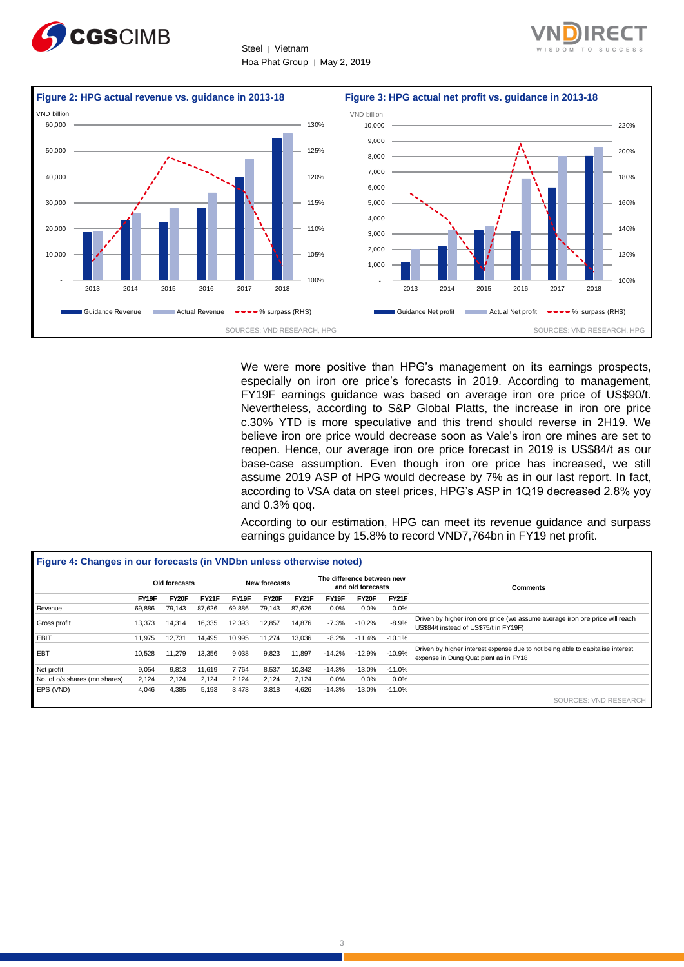





We were more positive than HPG's management on its earnings prospects, especially on iron ore price's forecasts in 2019. According to management, FY19F earnings guidance was based on average iron ore price of US\$90/t. Nevertheless, according to S&P Global Platts, the increase in iron ore price c.30% YTD is more speculative and this trend should reverse in 2H19. We believe iron ore price would decrease soon as Vale's iron ore mines are set to reopen. Hence, our average iron ore price forecast in 2019 is US\$84/t as our base-case assumption. Even though iron ore price has increased, we still assume 2019 ASP of HPG would decrease by 7% as in our last report. In fact, according to VSA data on steel prices, HPG's ASP in 1Q19 decreased 2.8% yoy and 0.3% qoq.

According to our estimation, HPG can meet its revenue guidance and surpass earnings guidance by 15.8% to record VND7,764bn in FY19 net profit.

|                               | Old forecasts |        | New forecasts |        |        | The difference between new<br>and old forecasts |          |          | Comments     |                                                                                                                         |
|-------------------------------|---------------|--------|---------------|--------|--------|-------------------------------------------------|----------|----------|--------------|-------------------------------------------------------------------------------------------------------------------------|
|                               | FY19F         | FY20F  | <b>FY21F</b>  | FY19F  | FY20F  | <b>FY21F</b>                                    | FY19F    | FY20F    | <b>FY21F</b> |                                                                                                                         |
| Revenue                       | 69,886        | 79,143 | 87.626        | 69,886 | 79,143 | 87.626                                          | 0.0%     | 0.0%     | 0.0%         |                                                                                                                         |
| Gross profit                  | 13,373        | 14,314 | 16,335        | 12,393 | 12,857 | 14,876                                          | $-7.3%$  | $-10.2%$ | $-8.9%$      | Driven by higher iron ore price (we assume average iron ore price will reach<br>US\$84/t instead of US\$75/t in FY19F)  |
| EBIT                          | 11.975        | 12.731 | 14.495        | 10,995 | 11.274 | 13.036                                          | $-8.2%$  | $-11.4%$ | $-10.1%$     |                                                                                                                         |
| EBT                           | 10,528        | 11,279 | 13,356        | 9,038  | 9,823  | 11,897                                          | $-14.2%$ | $-12.9%$ | $-10.9%$     | Driven by higher interest expense due to not being able to capitalise interest<br>expense in Dung Quat plant as in FY18 |
| Net profit                    | 9,054         | 9,813  | 11.619        | 7.764  | 8,537  | 10,342                                          | $-14.3%$ | $-13.0%$ | $-11.0%$     |                                                                                                                         |
| No. of o/s shares (mn shares) | 2,124         | 2.124  | 2.124         | 2.124  | 2.124  | 2.124                                           | 0.0%     | 0.0%     | 0.0%         |                                                                                                                         |
| EPS (VND)                     | 4,046         | 4,385  | 5,193         | 3,473  | 3,818  | 4,626                                           | $-14.3%$ | $-13.0%$ | $-11.0%$     |                                                                                                                         |
|                               |               |        |               |        |        |                                                 |          |          |              | SOURCES: VND RESEARCH                                                                                                   |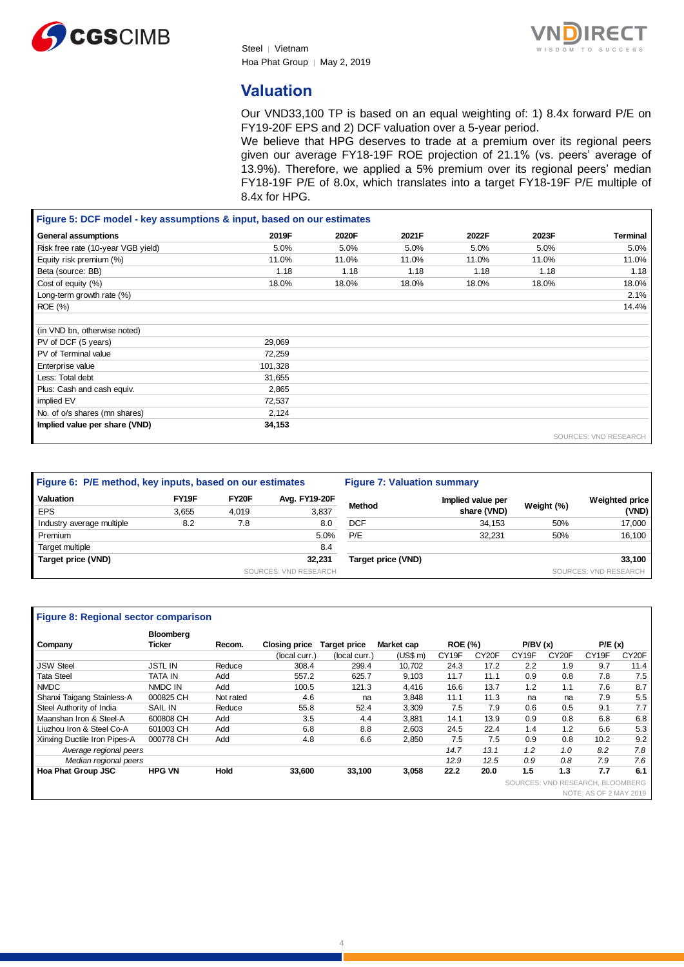





## **Valuation**

Our VND33,100 TP is based on an equal weighting of: 1) 8.4x forward P/E on FY19-20F EPS and 2) DCF valuation over a 5-year period.

We believe that HPG deserves to trade at a premium over its regional peers given our average FY18-19F ROE projection of 21.1% (vs. peers' average of 13.9%). Therefore, we applied a 5% premium over its regional peers' median FY18-19F P/E of 8.0x, which translates into a target FY18-19F P/E multiple of 8.4x for HPG.

| Figure 5: DCF model - key assumptions & input, based on our estimates |         |       |       |       |       |                       |
|-----------------------------------------------------------------------|---------|-------|-------|-------|-------|-----------------------|
| <b>General assumptions</b>                                            | 2019F   | 2020F | 2021F | 2022F | 2023F | Terminal              |
| Risk free rate (10-year VGB yield)                                    | 5.0%    | 5.0%  | 5.0%  | 5.0%  | 5.0%  | 5.0%                  |
| Equity risk premium (%)                                               | 11.0%   | 11.0% | 11.0% | 11.0% | 11.0% | 11.0%                 |
| Beta (source: BB)                                                     | 1.18    | 1.18  | 1.18  | 1.18  | 1.18  | 1.18                  |
| Cost of equity (%)                                                    | 18.0%   | 18.0% | 18.0% | 18.0% | 18.0% | 18.0%                 |
| Long-term growth rate (%)                                             |         |       |       |       |       | 2.1%                  |
| ROE (%)                                                               |         |       |       |       |       | 14.4%                 |
|                                                                       |         |       |       |       |       |                       |
| (in VND bn, otherwise noted)                                          |         |       |       |       |       |                       |
| PV of DCF (5 years)                                                   | 29,069  |       |       |       |       |                       |
| PV of Terminal value                                                  | 72,259  |       |       |       |       |                       |
| Enterprise value                                                      | 101,328 |       |       |       |       |                       |
| Less: Total debt                                                      | 31,655  |       |       |       |       |                       |
| Plus: Cash and cash equiv.                                            | 2,865   |       |       |       |       |                       |
| implied EV                                                            | 72,537  |       |       |       |       |                       |
| No. of o/s shares (mn shares)                                         | 2,124   |       |       |       |       |                       |
| Implied value per share (VND)                                         | 34,153  |       |       |       |       |                       |
|                                                                       |         |       |       |       |       | SOURCES: VND RESEARCH |

| Figure 6: P/E method, key inputs, based on our estimates |       |                    | <b>Figure 7: Valuation summary</b> |                    |                   |            |                       |
|----------------------------------------------------------|-------|--------------------|------------------------------------|--------------------|-------------------|------------|-----------------------|
| Valuation                                                | FY19F | FY <sub>20</sub> F | Avg. FY19-20F                      |                    | Implied value per |            | <b>Weighted price</b> |
| <b>EPS</b>                                               | 3.655 | 4.019              | 3,837                              | <b>Method</b>      | share (VND)       | Weight (%) | (VND)                 |
| Industry average multiple                                | 8.2   | 7.8                | 8.0                                | <b>DCF</b>         | 34.153            | 50%        | 17,000                |
| Premium                                                  |       |                    | 5.0%                               | P/E                | 32.231            | 50%        | 16,100                |
| Target multiple                                          |       |                    | 8.4                                |                    |                   |            |                       |
| Target price (VND)                                       |       |                    | 32.231                             | Target price (VND) |                   |            | 33.100                |
|                                                          |       |                    | SOURCES: VND RESEARCH              |                    |                   |            | SOURCES: VND RESEARCH |
|                                                          |       |                    |                                    |                    |                   |            |                       |

#### **Figure 8: Regional sector comparison**

|                              | Bloomberg      |             |                      |                     |            |                   |                    |                                  |                    |                        |                    |
|------------------------------|----------------|-------------|----------------------|---------------------|------------|-------------------|--------------------|----------------------------------|--------------------|------------------------|--------------------|
| Company                      | <b>Ticker</b>  | Recom.      | <b>Closing price</b> | <b>Target price</b> | Market cap | <b>ROE (%)</b>    |                    | P/BV(x)                          |                    | P/E(x)                 |                    |
|                              |                |             | (local curr.)        | (local curr.)       | (US\$ m)   | CY <sub>19F</sub> | CY <sub>20</sub> F | CY <sub>19F</sub>                | CY <sub>20</sub> F | CY19F                  | CY <sub>20</sub> F |
| <b>JSW Steel</b>             | <b>JSTL IN</b> | Reduce      | 308.4                | 299.4               | 10.702     | 24.3              | 17.2               | 2.2                              | 1.9                | 9.7                    | 11.4               |
| <b>Tata Steel</b>            | <b>TATA IN</b> | Add         | 557.2                | 625.7               | 9.103      | 11.7              | 11.1               | 0.9                              | 0.8                | 7.8                    | 7.5                |
| <b>NMDC</b>                  | NMDC IN        | Add         | 100.5                | 121.3               | 4.416      | 16.6              | 13.7               | 1.2                              | 1.1                | 7.6                    | 8.7                |
| Shanxi Taigang Stainless-A   | 000825 CH      | Not rated   | 4.6                  | na                  | 3.848      | 11.1              | 11.3               | na                               | na                 | 7.9                    | 5.5                |
| Steel Authority of India     | <b>SAIL IN</b> | Reduce      | 55.8                 | 52.4                | 3,309      | 7.5               | 7.9                | 0.6                              | 0.5                | 9.1                    | 7.7                |
| Maanshan Iron & Steel-A      | 600808 CH      | Add         | 3.5                  | 4.4                 | 3.881      | 14.1              | 13.9               | 0.9                              | 0.8                | 6.8                    | 6.8                |
| Liuzhou Iron & Steel Co-A    | 601003 CH      | Add         | 6.8                  | 8.8                 | 2.603      | 24.5              | 22.4               | 1.4                              | 1.2                | 6.6                    | 5.3                |
| Xinxing Ductile Iron Pipes-A | 000778 CH      | Add         | 4.8                  | 6.6                 | 2.850      | 7.5               | 7.5                | 0.9                              | 0.8                | 10.2                   | 9.2                |
| Average regional peers       |                |             |                      |                     |            | 14.7              | 13.1               | 1.2                              | 1.0                | 8.2                    | 7.8                |
| Median regional peers        |                |             |                      |                     |            | 12.9              | 12.5               | 0.9                              | 0.8                | 7.9                    | 7.6                |
| Hoa Phat Group JSC           | <b>HPG VN</b>  | <b>Hold</b> | 33,600               | 33,100              | 3,058      | 22.2              | 20.0               | 1.5                              | 1.3                | 7.7                    | 6.1                |
|                              |                |             |                      |                     |            |                   |                    | SOURCES: VND RESEARCH, BLOOMBERG |                    |                        |                    |
|                              |                |             |                      |                     |            |                   |                    |                                  |                    | NOTE: AS OF 2 MAY 2019 |                    |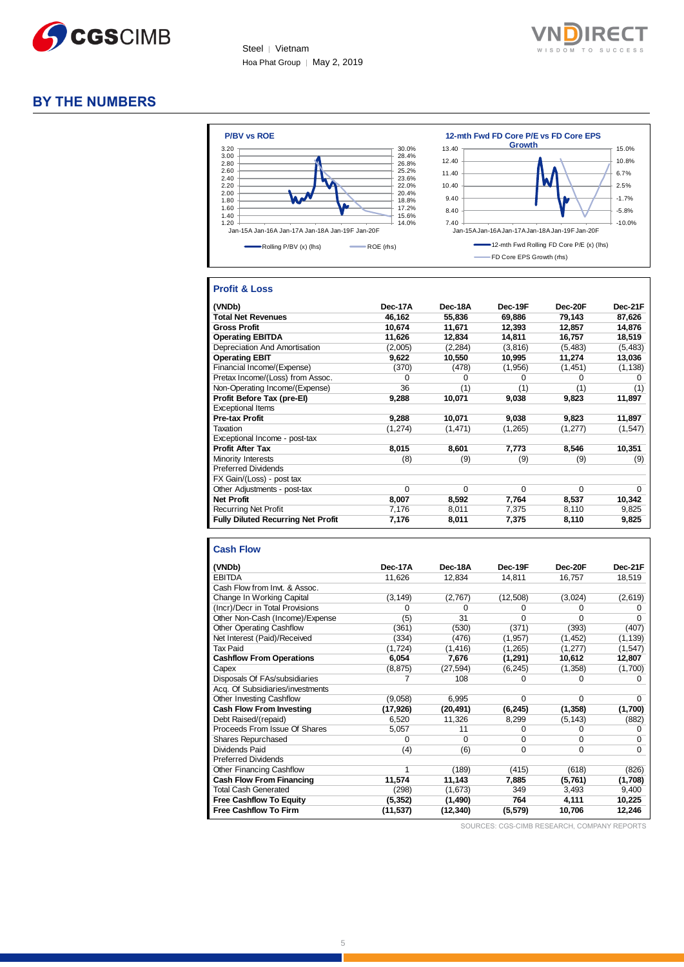



## **BY THE NUMBERS**



#### **Profit & Loss**

| (VNDb)                                    | Dec-17A | Dec-18A  | Dec-19F  | Dec-20F  | Dec-21F  |
|-------------------------------------------|---------|----------|----------|----------|----------|
| <b>Total Net Revenues</b>                 | 46,162  | 55.836   | 69,886   | 79,143   | 87,626   |
| <b>Gross Profit</b>                       | 10,674  | 11,671   | 12,393   | 12,857   | 14,876   |
| <b>Operating EBITDA</b>                   | 11,626  | 12,834   | 14,811   | 16,757   | 18,519   |
| Depreciation And Amortisation             | (2,005) | (2, 284) | (3,816)  | (5, 483) | (5, 483) |
| <b>Operating EBIT</b>                     | 9,622   | 10,550   | 10,995   | 11,274   | 13,036   |
| Financial Income/(Expense)                | (370)   | (478)    | (1,956)  | (1, 451) | (1, 138) |
| Pretax Income/(Loss) from Assoc.          | 0       | 0        | $\Omega$ | 0        | 0        |
| Non-Operating Income/(Expense)            | 36      | (1)      | (1)      | (1)      | (1)      |
| Profit Before Tax (pre-El)                | 9,288   | 10,071   | 9,038    | 9,823    | 11,897   |
| <b>Exceptional Items</b>                  |         |          |          |          |          |
| <b>Pre-tax Profit</b>                     | 9,288   | 10,071   | 9,038    | 9,823    | 11,897   |
| Taxation                                  | (1,274) | (1, 471) | (1,265)  | (1,277)  | (1, 547) |
| Exceptional Income - post-tax             |         |          |          |          |          |
| <b>Profit After Tax</b>                   | 8,015   | 8,601    | 7,773    | 8,546    | 10,351   |
| Minority Interests                        | (8)     | (9)      | (9)      | (9)      | (9)      |
| <b>Preferred Dividends</b>                |         |          |          |          |          |
| FX Gain/(Loss) - post tax                 |         |          |          |          |          |
| Other Adjustments - post-tax              | 0       | $\Omega$ | $\Omega$ | $\Omega$ | $\Omega$ |
| <b>Net Profit</b>                         | 8,007   | 8,592    | 7,764    | 8,537    | 10,342   |
| <b>Recurring Net Profit</b>               | 7,176   | 8,011    | 7,375    | 8,110    | 9,825    |
| <b>Fully Diluted Recurring Net Profit</b> | 7,176   | 8,011    | 7,375    | 8,110    | 9,825    |

#### **Cash Flow**

| (VNDb)                           | Dec-17A   | Dec-18A   | Dec-19F  | Dec-20F  | Dec-21F  |
|----------------------------------|-----------|-----------|----------|----------|----------|
| <b>EBITDA</b>                    | 11,626    | 12,834    | 14,811   | 16,757   | 18,519   |
| Cash Flow from Invt. & Assoc.    |           |           |          |          |          |
| Change In Working Capital        | (3, 149)  | (2,767)   | (12,508) | (3,024)  | (2,619)  |
| (Incr)/Decr in Total Provisions  | 0         | 0         | o        | 0        |          |
| Other Non-Cash (Income)/Expense  | (5)       | 31        | $\Omega$ | $\Omega$ | n        |
| Other Operating Cashflow         | (361)     | (530)     | (371)    | (393)    | (407)    |
| Net Interest (Paid)/Received     | (334)     | (476)     | (1, 957) | (1, 452) | (1, 139) |
| <b>Tax Paid</b>                  | (1, 724)  | (1, 416)  | (1, 265) | (1,277)  | (1, 547) |
| <b>Cashflow From Operations</b>  | 6,054     | 7,676     | (1, 291) | 10,612   | 12,807   |
| Capex                            | (8, 875)  | (27, 594) | (6, 245) | (1,358)  | (1,700)  |
| Disposals Of FAs/subsidiaries    | 7         | 108       | 0        | 0        | 0        |
| Acq. Of Subsidiaries/investments |           |           |          |          |          |
| Other Investing Cashflow         | (9,058)   | 6,995     | $\Omega$ | $\Omega$ | 0        |
| <b>Cash Flow From Investing</b>  | (17, 926) | (20, 491) | (6, 245) | (1, 358) | (1,700)  |
| Debt Raised/(repaid)             | 6,520     | 11,326    | 8,299    | (5, 143) | (882)    |
| Proceeds From Issue Of Shares    | 5,057     | 11        | 0        | 0        | O        |
| <b>Shares Repurchased</b>        | $\Omega$  | $\Omega$  | $\Omega$ | $\Omega$ | 0        |
| Dividends Paid                   | (4)       | (6)       | 0        | $\Omega$ | $\Omega$ |
| <b>Preferred Dividends</b>       |           |           |          |          |          |
| Other Financing Cashflow         |           | (189)     | (415)    | (618)    | (826)    |
| <b>Cash Flow From Financing</b>  | 11,574    | 11,143    | 7,885    | (5,761)  | (1,708)  |
| <b>Total Cash Generated</b>      | (298)     | (1,673)   | 349      | 3,493    | 9,400    |
| <b>Free Cashflow To Equity</b>   | (5, 352)  | (1,490)   | 764      | 4,111    | 10,225   |
| <b>Free Cashflow To Firm</b>     | (11, 537) | (12, 340) | (5, 579) | 10,706   | 12,246   |

SOURCES: CGS-CIMB RESEARCH, COMPANY REPORTS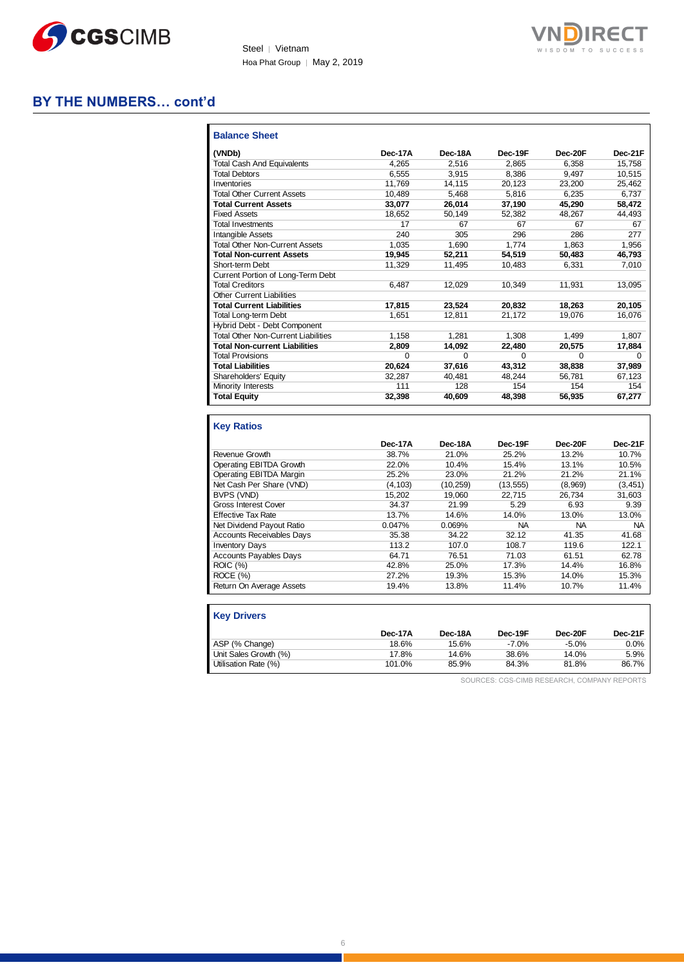



## **BY THE NUMBERS… cont'd**

| <b>Balance Sheet</b>                       |         |         |          |          |              |
|--------------------------------------------|---------|---------|----------|----------|--------------|
| (VNDb)                                     | Dec-17A | Dec-18A | Dec-19F  | Dec-20F  | Dec-21F      |
| <b>Total Cash And Equivalents</b>          | 4.265   | 2.516   | 2.865    | 6.358    | 15.758       |
| <b>Total Debtors</b>                       | 6.555   | 3.915   | 8.386    | 9.497    | 10.515       |
| Inventories                                | 11.769  | 14.115  | 20.123   | 23.200   | 25.462       |
| <b>Total Other Current Assets</b>          | 10.489  | 5.468   | 5.816    | 6.235    | 6.737        |
| <b>Total Current Assets</b>                | 33.077  | 26,014  | 37,190   | 45,290   | 58,472       |
| <b>Fixed Assets</b>                        | 18.652  | 50.149  | 52.382   | 48.267   | 44,493       |
| <b>Total Investments</b>                   | 17      | 67      | 67       | 67       | 67           |
| Intangible Assets                          | 240     | 305     | 296      | 286      | 277          |
| <b>Total Other Non-Current Assets</b>      | 1.035   | 1.690   | 1.774    | 1.863    | 1.956        |
| <b>Total Non-current Assets</b>            | 19.945  | 52,211  | 54.519   | 50.483   | 46.793       |
| Short-term Debt                            | 11.329  | 11.495  | 10.483   | 6.331    | 7,010        |
| Current Portion of Long-Term Debt          |         |         |          |          |              |
| <b>Total Creditors</b>                     | 6.487   | 12.029  | 10.349   | 11.931   | 13,095       |
| <b>Other Current Liabilities</b>           |         |         |          |          |              |
| <b>Total Current Liabilities</b>           | 17,815  | 23.524  | 20.832   | 18.263   | 20,105       |
| Total Long-term Debt                       | 1.651   | 12.811  | 21.172   | 19.076   | 16.076       |
| Hybrid Debt - Debt Component               |         |         |          |          |              |
| <b>Total Other Non-Current Liabilities</b> | 1.158   | 1.281   | 1.308    | 1.499    | 1.807        |
| <b>Total Non-current Liabilities</b>       | 2.809   | 14.092  | 22,480   | 20,575   | 17,884       |
| <b>Total Provisions</b>                    | 0       | 0       | $\Omega$ | $\Omega$ | <sup>0</sup> |
| <b>Total Liabilities</b>                   | 20.624  | 37,616  | 43,312   | 38,838   | 37,989       |
| Shareholders' Equity                       | 32.287  | 40.481  | 48.244   | 56.781   | 67.123       |
| Minority Interests                         | 111     | 128     | 154      | 154      | 154          |
| <b>Total Equity</b>                        | 32,398  | 40.609  | 48.398   | 56.935   | 67,277       |

#### **Key Ratios Dec-17A Dec-18A Dec-19F Dec-20F Dec-21F** Revenue Growth 38.7% 21.0% 25.2% 13.2% 10.7% **Operating EBITDA Growth** Operating EBITDA Margin 25.2% 23.0% 21.2% 21.2% 21.1% Net Cash Per Share (VND) (4,103) (10,259) (13,555) (8,969) (3,451) BVPS (VND) 15,202 19,060 22,715 26,734 31,603 Gross Interest Cover 34.37 21.99 5.29 6.93 9.39 Effective Tax Rate 13.0% 13.7% 14.6% 14.0% 13.0% 13.0% 13.0% 13.0% 13.0% 13.0% 13.0% 13.0% 13.0% 13.0% 13.0% 13.0% 13.0% 13.0% 13.0% 13.0% 13.0% 13.0% 13.0% 13.0% 13.0% 13.0% 13.0% 13.0% 13.0% 13.0% 13.0% 13.0% 13.0% 13.0% Net Dividend Payout Ratio **0.047%** 0.069% NA NA NA NA NA<br>
Accounts Receivables Days 35.38 34.22 32.12 41.35 41.68 Accounts Receivables Days **35.38** 34.22 32.12 41.35 41.68<br>
Inventory Days 113.2 107.0 108.7 119.6 122.1 **Inventory Days** Accounts Payables Days 64.71 76.51 71.03 61.51 62.78<br>ROIC (%) 42.8% 25.0% 17.3% 14.4% 16.8% ROIC (%) 42.8% 25.0% 17.3% 14.4% 16.8% ROCE (%) 27.2% 19.3% 15.3% 14.0% 15.3% Return On Average Assets 19.4% 13.8% 11.4% 10.7% 11.4%

| <b>Key Drivers</b>    |         |         |         |          |         |
|-----------------------|---------|---------|---------|----------|---------|
|                       | Dec-17A | Dec-18A | Dec-19F | Dec-20F  | Dec-21F |
| ASP (% Change)        | 18.6%   | 15.6%   | $-7.0%$ | $-5.0\%$ | 0.0%    |
| Unit Sales Growth (%) | 17.8%   | 14.6%   | 38.6%   | 14.0%    | 5.9%    |
| Utilisation Rate (%)  | 101.0%  | 85.9%   | 84.3%   | 81.8%    | 86.7%   |

SOURCES: CGS-CIMB RESEARCH, COMPANY REPORTS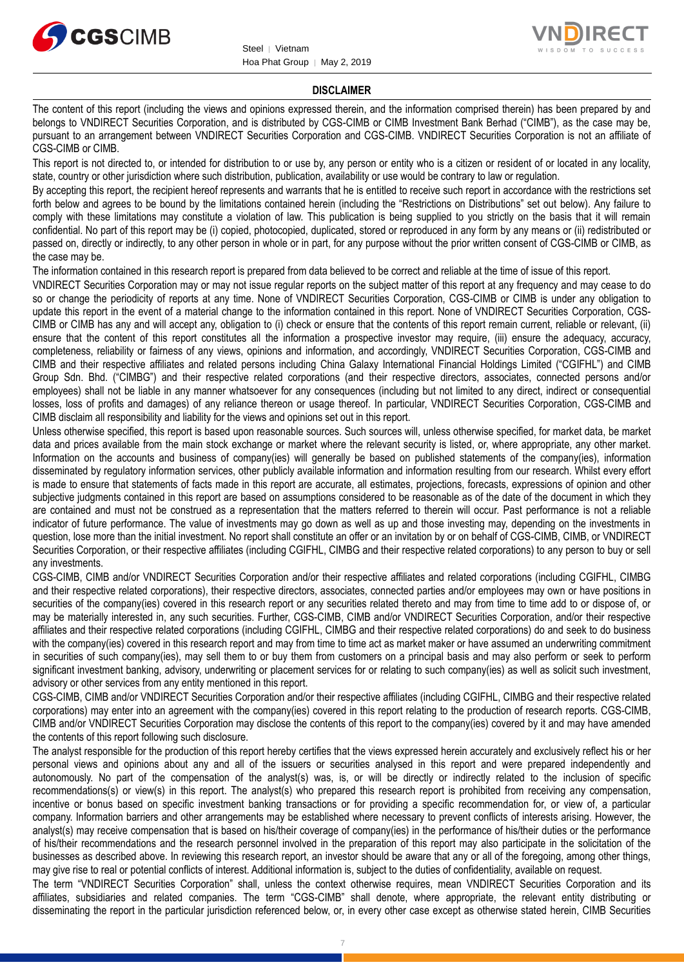



#### **DISCLAIMER**

The content of this report (including the views and opinions expressed therein, and the information comprised therein) has been prepared by and belongs to VNDIRECT Securities Corporation, and is distributed by CGS-CIMB or CIMB Investment Bank Berhad ("CIMB"), as the case may be, pursuant to an arrangement between VNDIRECT Securities Corporation and CGS-CIMB. VNDIRECT Securities Corporation is not an affiliate of CGS-CIMB or CIMB.

This report is not directed to, or intended for distribution to or use by, any person or entity who is a citizen or resident of or located in any locality, state, country or other jurisdiction where such distribution, publication, availability or use would be contrary to law or regulation.

By accepting this report, the recipient hereof represents and warrants that he is entitled to receive such report in accordance with the restrictions set forth below and agrees to be bound by the limitations contained herein (including the "Restrictions on Distributions" set out below). Any failure to comply with these limitations may constitute a violation of law. This publication is being supplied to you strictly on the basis that it will remain confidential. No part of this report may be (i) copied, photocopied, duplicated, stored or reproduced in any form by any means or (ii) redistributed or passed on, directly or indirectly, to any other person in whole or in part, for any purpose without the prior written consent of CGS-CIMB or CIMB, as the case may be.

The information contained in this research report is prepared from data believed to be correct and reliable at the time of issue of this report.

VNDIRECT Securities Corporation may or may not issue regular reports on the subject matter of this report at any frequency and may cease to do so or change the periodicity of reports at any time. None of VNDIRECT Securities Corporation, CGS-CIMB or CIMB is under any obligation to update this report in the event of a material change to the information contained in this report. None of VNDIRECT Securities Corporation, CGS-CIMB or CIMB has any and will accept any, obligation to (i) check or ensure that the contents of this report remain current, reliable or relevant, (ii) ensure that the content of this report constitutes all the information a prospective investor may require, (iii) ensure the adequacy, accuracy, completeness, reliability or fairness of any views, opinions and information, and accordingly, VNDIRECT Securities Corporation, CGS-CIMB and CIMB and their respective affiliates and related persons including China Galaxy International Financial Holdings Limited ("CGIFHL") and CIMB Group Sdn. Bhd. ("CIMBG") and their respective related corporations (and their respective directors, associates, connected persons and/or employees) shall not be liable in any manner whatsoever for any consequences (including but not limited to any direct, indirect or consequential losses, loss of profits and damages) of any reliance thereon or usage thereof. In particular, VNDIRECT Securities Corporation, CGS-CIMB and CIMB disclaim all responsibility and liability for the views and opinions set out in this report.

Unless otherwise specified, this report is based upon reasonable sources. Such sources will, unless otherwise specified, for market data, be market data and prices available from the main stock exchange or market where the relevant security is listed, or, where appropriate, any other market. Information on the accounts and business of company(ies) will generally be based on published statements of the company(ies), information disseminated by regulatory information services, other publicly available information and information resulting from our research. Whilst every effort is made to ensure that statements of facts made in this report are accurate, all estimates, projections, forecasts, expressions of opinion and other subjective judgments contained in this report are based on assumptions considered to be reasonable as of the date of the document in which they are contained and must not be construed as a representation that the matters referred to therein will occur. Past performance is not a reliable indicator of future performance. The value of investments may go down as well as up and those investing may, depending on the investments in question, lose more than the initial investment. No report shall constitute an offer or an invitation by or on behalf of CGS-CIMB, CIMB, or VNDIRECT Securities Corporation, or their respective affiliates (including CGIFHL, CIMBG and their respective related corporations) to any person to buy or sell any investments.

CGS-CIMB, CIMB and/or VNDIRECT Securities Corporation and/or their respective affiliates and related corporations (including CGIFHL, CIMBG and their respective related corporations), their respective directors, associates, connected parties and/or employees may own or have positions in securities of the company(ies) covered in this research report or any securities related thereto and may from time to time add to or dispose of, or may be materially interested in, any such securities. Further, CGS-CIMB, CIMB and/or VNDIRECT Securities Corporation, and/or their respective affiliates and their respective related corporations (including CGIFHL, CIMBG and their respective related corporations) do and seek to do business with the company(ies) covered in this research report and may from time to time act as market maker or have assumed an underwriting commitment in securities of such company(ies), may sell them to or buy them from customers on a principal basis and may also perform or seek to perform significant investment banking, advisory, underwriting or placement services for or relating to such company(ies) as well as solicit such investment, advisory or other services from any entity mentioned in this report.

CGS-CIMB, CIMB and/or VNDIRECT Securities Corporation and/or their respective affiliates (including CGIFHL, CIMBG and their respective related corporations) may enter into an agreement with the company(ies) covered in this report relating to the production of research reports. CGS-CIMB, CIMB and/or VNDIRECT Securities Corporation may disclose the contents of this report to the company(ies) covered by it and may have amended the contents of this report following such disclosure.

The analyst responsible for the production of this report hereby certifies that the views expressed herein accurately and exclusively reflect his or her personal views and opinions about any and all of the issuers or securities analysed in this report and were prepared independently and autonomously. No part of the compensation of the analyst(s) was, is, or will be directly or indirectly related to the inclusion of specific recommendations(s) or view(s) in this report. The analyst(s) who prepared this research report is prohibited from receiving any compensation, incentive or bonus based on specific investment banking transactions or for providing a specific recommendation for, or view of, a particular company. Information barriers and other arrangements may be established where necessary to prevent conflicts of interests arising. However, the analyst(s) may receive compensation that is based on his/their coverage of company(ies) in the performance of his/their duties or the performance of his/their recommendations and the research personnel involved in the preparation of this report may also participate in the solicitation of the businesses as described above. In reviewing this research report, an investor should be aware that any or all of the foregoing, among other things, may give rise to real or potential conflicts of interest. Additional information is, subject to the duties of confidentiality, available on request.

The term "VNDIRECT Securities Corporation" shall, unless the context otherwise requires, mean VNDIRECT Securities Corporation and its affiliates, subsidiaries and related companies. The term "CGS-CIMB" shall denote, where appropriate, the relevant entity distributing or disseminating the report in the particular jurisdiction referenced below, or, in every other case except as otherwise stated herein, CIMB Securities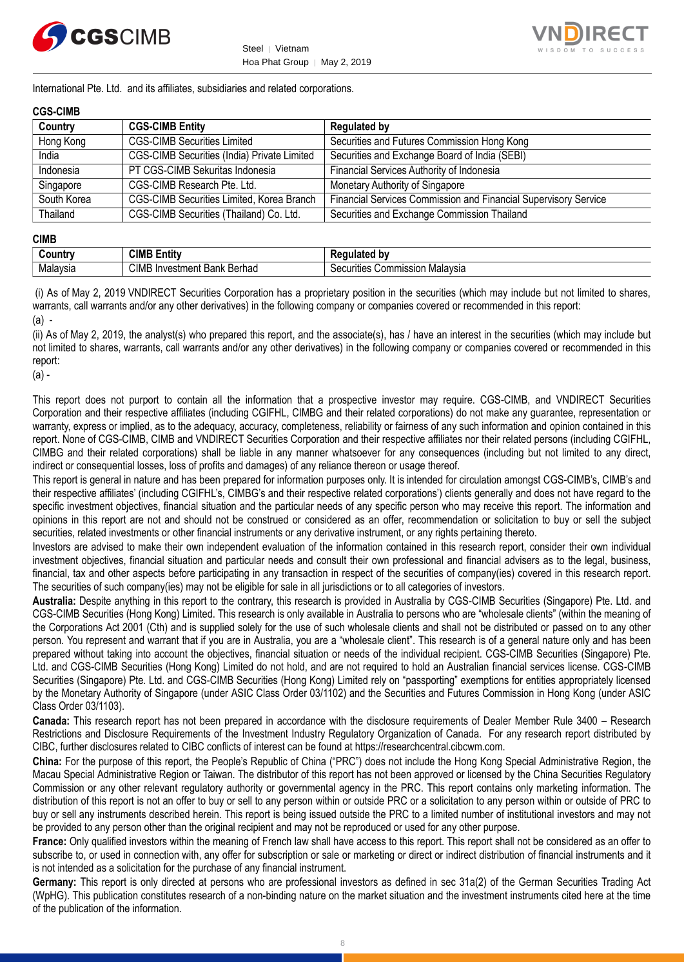



International Pte. Ltd. and its affiliates, subsidiaries and related corporations.

#### **CGS-CIMB**

| Country     | <b>CGS-CIMB Entity</b>                      | <b>Regulated by</b>                                             |
|-------------|---------------------------------------------|-----------------------------------------------------------------|
| Hong Kong   | <b>CGS-CIMB Securities Limited</b>          | Securities and Futures Commission Hong Kong                     |
| India       | CGS-CIMB Securities (India) Private Limited | Securities and Exchange Board of India (SEBI)                   |
| Indonesia   | PT CGS-CIMB Sekuritas Indonesia             | Financial Services Authority of Indonesia                       |
| Singapore   | CGS-CIMB Research Pte. Ltd.                 | Monetary Authority of Singapore                                 |
| South Korea | CGS-CIMB Securities Limited, Korea Branch   | Financial Services Commission and Financial Supervisory Service |
| Thailand    | CGS-CIMB Securities (Thailand) Co. Ltd.     | Securities and Exchange Commission Thailand                     |

#### **CIMB**

| ∶ountr∖  | <b>CIMB F</b><br>$\overline{a}$<br>Entity              | b۷<br>--- -                              |
|----------|--------------------------------------------------------|------------------------------------------|
| Malaysia | CIM<br><br>レヘルへん<br><b>Bank</b><br>nvestment<br>beniau | Malavsia<br>Commissior<br>urities<br>ംലെ |

(i) As of May 2, 2019 VNDIRECT Securities Corporation has a proprietary position in the securities (which may include but not limited to shares, warrants, call warrants and/or any other derivatives) in the following company or companies covered or recommended in this report:  $(a)$ .

(ii) As of May 2, 2019, the analyst(s) who prepared this report, and the associate(s), has / have an interest in the securities (which may include but not limited to shares, warrants, call warrants and/or any other derivatives) in the following company or companies covered or recommended in this report:

(a) -

This report does not purport to contain all the information that a prospective investor may require. CGS-CIMB, and VNDIRECT Securities Corporation and their respective affiliates (including CGIFHL, CIMBG and their related corporations) do not make any guarantee, representation or warranty, express or implied, as to the adequacy, accuracy, completeness, reliability or fairness of any such information and opinion contained in this report. None of CGS-CIMB, CIMB and VNDIRECT Securities Corporation and their respective affiliates nor their related persons (including CGIFHL, CIMBG and their related corporations) shall be liable in any manner whatsoever for any consequences (including but not limited to any direct, indirect or consequential losses, loss of profits and damages) of any reliance thereon or usage thereof.

This report is general in nature and has been prepared for information purposes only. It is intended for circulation amongst CGS-CIMB's, CIMB's and their respective affiliates' (including CGIFHL's, CIMBG's and their respective related corporations') clients generally and does not have regard to the specific investment objectives, financial situation and the particular needs of any specific person who may receive this report. The information and opinions in this report are not and should not be construed or considered as an offer, recommendation or solicitation to buy or sell the subject securities, related investments or other financial instruments or any derivative instrument, or any rights pertaining thereto.

Investors are advised to make their own independent evaluation of the information contained in this research report, consider their own individual investment objectives, financial situation and particular needs and consult their own professional and financial advisers as to the legal, business, financial, tax and other aspects before participating in any transaction in respect of the securities of company(ies) covered in this research report. The securities of such company(ies) may not be eligible for sale in all jurisdictions or to all categories of investors.

**Australia:** Despite anything in this report to the contrary, this research is provided in Australia by CGS-CIMB Securities (Singapore) Pte. Ltd. and CGS-CIMB Securities (Hong Kong) Limited. This research is only available in Australia to persons who are "wholesale clients" (within the meaning of the Corporations Act 2001 (Cth) and is supplied solely for the use of such wholesale clients and shall not be distributed or passed on to any other person. You represent and warrant that if you are in Australia, you are a "wholesale client". This research is of a general nature only and has been prepared without taking into account the objectives, financial situation or needs of the individual recipient. CGS-CIMB Securities (Singapore) Pte. Ltd. and CGS-CIMB Securities (Hong Kong) Limited do not hold, and are not required to hold an Australian financial services license. CGS-CIMB Securities (Singapore) Pte. Ltd. and CGS-CIMB Securities (Hong Kong) Limited rely on "passporting" exemptions for entities appropriately licensed by the Monetary Authority of Singapore (under ASIC Class Order 03/1102) and the Securities and Futures Commission in Hong Kong (under ASIC Class Order 03/1103).

**Canada:** This research report has not been prepared in accordance with the disclosure requirements of Dealer Member Rule 3400 – Research Restrictions and Disclosure Requirements of the Investment Industry Regulatory Organization of Canada. For any research report distributed by CIBC, further disclosures related to CIBC conflicts of interest can be found at https://researchcentral.cibcwm.com.

**China:** For the purpose of this report, the People's Republic of China ("PRC") does not include the Hong Kong Special Administrative Region, the Macau Special Administrative Region or Taiwan. The distributor of this report has not been approved or licensed by the China Securities Regulatory Commission or any other relevant regulatory authority or governmental agency in the PRC. This report contains only marketing information. The distribution of this report is not an offer to buy or sell to any person within or outside PRC or a solicitation to any person within or outside of PRC to buy or sell any instruments described herein. This report is being issued outside the PRC to a limited number of institutional investors and may not be provided to any person other than the original recipient and may not be reproduced or used for any other purpose.

**France:** Only qualified investors within the meaning of French law shall have access to this report. This report shall not be considered as an offer to subscribe to, or used in connection with, any offer for subscription or sale or marketing or direct or indirect distribution of financial instruments and it is not intended as a solicitation for the purchase of any financial instrument.

**Germany:** This report is only directed at persons who are professional investors as defined in sec 31a(2) of the German Securities Trading Act (WpHG). This publication constitutes research of a non-binding nature on the market situation and the investment instruments cited here at the time of the publication of the information.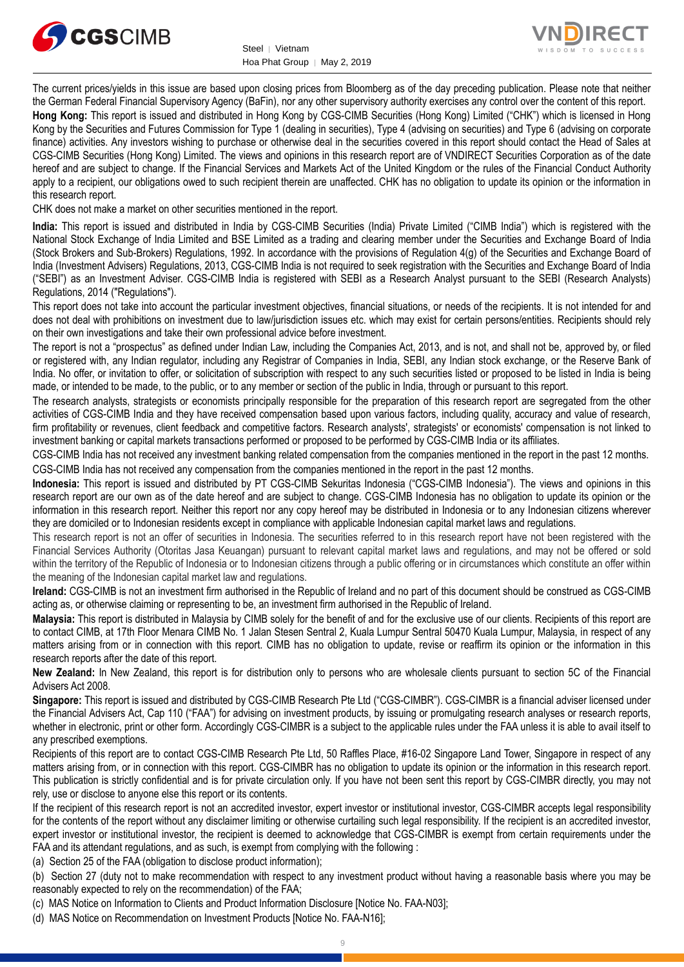



The current prices/yields in this issue are based upon closing prices from Bloomberg as of the day preceding publication. Please note that neither the German Federal Financial Supervisory Agency (BaFin), nor any other supervisory authority exercises any control over the content of this report.

**Hong Kong:** This report is issued and distributed in Hong Kong by CGS-CIMB Securities (Hong Kong) Limited ("CHK") which is licensed in Hong Kong by the Securities and Futures Commission for Type 1 (dealing in securities), Type 4 (advising on securities) and Type 6 (advising on corporate finance) activities. Any investors wishing to purchase or otherwise deal in the securities covered in this report should contact the Head of Sales at CGS-CIMB Securities (Hong Kong) Limited. The views and opinions in this research report are of VNDIRECT Securities Corporation as of the date hereof and are subject to change. If the Financial Services and Markets Act of the United Kingdom or the rules of the Financial Conduct Authority apply to a recipient, our obligations owed to such recipient therein are unaffected. CHK has no obligation to update its opinion or the information in this research report.

CHK does not make a market on other securities mentioned in the report.

**India:** This report is issued and distributed in India by CGS-CIMB Securities (India) Private Limited ("CIMB India") which is registered with the National Stock Exchange of India Limited and BSE Limited as a trading and clearing member under the Securities and Exchange Board of India (Stock Brokers and Sub-Brokers) Regulations, 1992. In accordance with the provisions of Regulation 4(g) of the Securities and Exchange Board of India (Investment Advisers) Regulations, 2013, CGS-CIMB India is not required to seek registration with the Securities and Exchange Board of India ("SEBI") as an Investment Adviser. CGS-CIMB India is registered with SEBI as a Research Analyst pursuant to the SEBI (Research Analysts) Regulations, 2014 ("Regulations").

This report does not take into account the particular investment objectives, financial situations, or needs of the recipients. It is not intended for and does not deal with prohibitions on investment due to law/jurisdiction issues etc. which may exist for certain persons/entities. Recipients should rely on their own investigations and take their own professional advice before investment.

The report is not a "prospectus" as defined under Indian Law, including the Companies Act, 2013, and is not, and shall not be, approved by, or filed or registered with, any Indian regulator, including any Registrar of Companies in India, SEBI, any Indian stock exchange, or the Reserve Bank of India. No offer, or invitation to offer, or solicitation of subscription with respect to any such securities listed or proposed to be listed in India is being made, or intended to be made, to the public, or to any member or section of the public in India, through or pursuant to this report.

The research analysts, strategists or economists principally responsible for the preparation of this research report are segregated from the other activities of CGS-CIMB India and they have received compensation based upon various factors, including quality, accuracy and value of research, firm profitability or revenues, client feedback and competitive factors. Research analysts', strategists' or economists' compensation is not linked to investment banking or capital markets transactions performed or proposed to be performed by CGS-CIMB India or its affiliates.

CGS-CIMB India has not received any investment banking related compensation from the companies mentioned in the report in the past 12 months. CGS-CIMB India has not received any compensation from the companies mentioned in the report in the past 12 months.

**Indonesia:** This report is issued and distributed by PT CGS-CIMB Sekuritas Indonesia ("CGS-CIMB Indonesia"). The views and opinions in this research report are our own as of the date hereof and are subject to change. CGS-CIMB Indonesia has no obligation to update its opinion or the information in this research report. Neither this report nor any copy hereof may be distributed in Indonesia or to any Indonesian citizens wherever they are domiciled or to Indonesian residents except in compliance with applicable Indonesian capital market laws and regulations.

This research report is not an offer of securities in Indonesia. The securities referred to in this research report have not been registered with the Financial Services Authority (Otoritas Jasa Keuangan) pursuant to relevant capital market laws and regulations, and may not be offered or sold within the territory of the Republic of Indonesia or to Indonesian citizens through a public offering or in circumstances which constitute an offer within the meaning of the Indonesian capital market law and regulations.

**Ireland:** CGS-CIMB is not an investment firm authorised in the Republic of Ireland and no part of this document should be construed as CGS-CIMB acting as, or otherwise claiming or representing to be, an investment firm authorised in the Republic of Ireland.

**Malaysia:** This report is distributed in Malaysia by CIMB solely for the benefit of and for the exclusive use of our clients. Recipients of this report are to contact CIMB, at 17th Floor Menara CIMB No. 1 Jalan Stesen Sentral 2, Kuala Lumpur Sentral 50470 Kuala Lumpur, Malaysia, in respect of any matters arising from or in connection with this report. CIMB has no obligation to update, revise or reaffirm its opinion or the information in this research reports after the date of this report.

**New Zealand:** In New Zealand, this report is for distribution only to persons who are wholesale clients pursuant to section 5C of the Financial Advisers Act 2008.

**Singapore:** This report is issued and distributed by CGS-CIMB Research Pte Ltd ("CGS-CIMBR"). CGS-CIMBR is a financial adviser licensed under the Financial Advisers Act, Cap 110 ("FAA") for advising on investment products, by issuing or promulgating research analyses or research reports, whether in electronic, print or other form. Accordingly CGS-CIMBR is a subject to the applicable rules under the FAA unless it is able to avail itself to any prescribed exemptions.

Recipients of this report are to contact CGS-CIMB Research Pte Ltd, 50 Raffles Place, #16-02 Singapore Land Tower, Singapore in respect of any matters arising from, or in connection with this report. CGS-CIMBR has no obligation to update its opinion or the information in this research report. This publication is strictly confidential and is for private circulation only. If you have not been sent this report by CGS-CIMBR directly, you may not rely, use or disclose to anyone else this report or its contents.

If the recipient of this research report is not an accredited investor, expert investor or institutional investor, CGS-CIMBR accepts legal responsibility for the contents of the report without any disclaimer limiting or otherwise curtailing such legal responsibility. If the recipient is an accredited investor, expert investor or institutional investor, the recipient is deemed to acknowledge that CGS-CIMBR is exempt from certain requirements under the FAA and its attendant regulations, and as such, is exempt from complying with the following :

(a) Section 25 of the FAA (obligation to disclose product information);

(b) Section 27 (duty not to make recommendation with respect to any investment product without having a reasonable basis where you may be reasonably expected to rely on the recommendation) of the FAA;

(c) MAS Notice on Information to Clients and Product Information Disclosure [Notice No. FAA-N03];

(d) MAS Notice on Recommendation on Investment Products [Notice No. FAA-N16];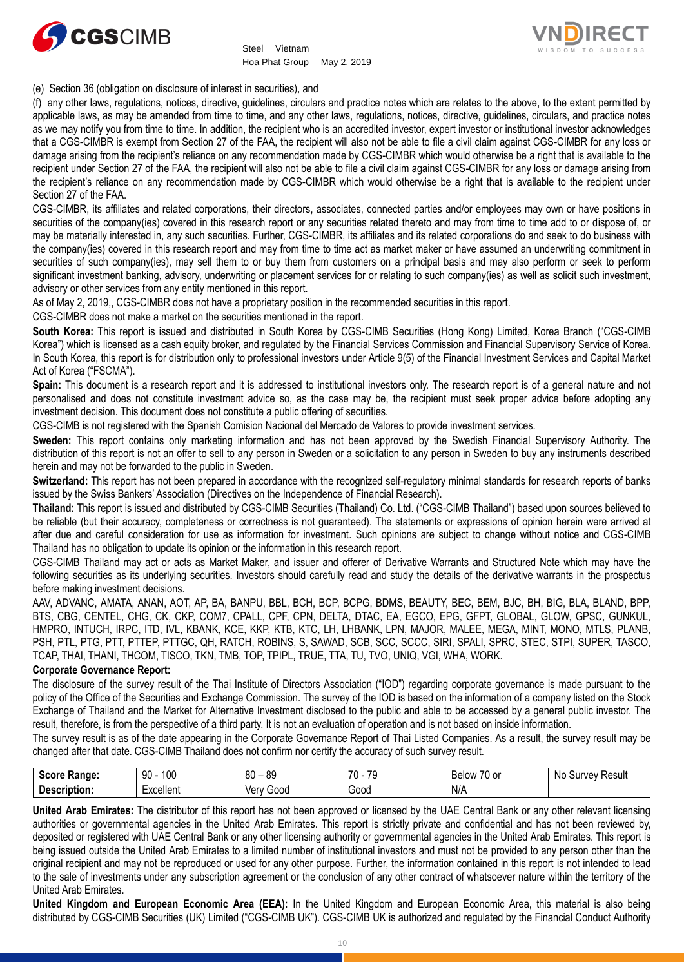



(e) Section 36 (obligation on disclosure of interest in securities), and

(f) any other laws, regulations, notices, directive, guidelines, circulars and practice notes which are relates to the above, to the extent permitted by applicable laws, as may be amended from time to time, and any other laws, regulations, notices, directive, guidelines, circulars, and practice notes as we may notify you from time to time. In addition, the recipient who is an accredited investor, expert investor or institutional investor acknowledges that a CGS-CIMBR is exempt from Section 27 of the FAA, the recipient will also not be able to file a civil claim against CGS-CIMBR for any loss or damage arising from the recipient's reliance on any recommendation made by CGS-CIMBR which would otherwise be a right that is available to the recipient under Section 27 of the FAA, the recipient will also not be able to file a civil claim against CGS-CIMBR for any loss or damage arising from the recipient's reliance on any recommendation made by CGS-CIMBR which would otherwise be a right that is available to the recipient under Section 27 of the FAA.

CGS-CIMBR, its affiliates and related corporations, their directors, associates, connected parties and/or employees may own or have positions in securities of the company(ies) covered in this research report or any securities related thereto and may from time to time add to or dispose of, or may be materially interested in, any such securities. Further, CGS-CIMBR, its affiliates and its related corporations do and seek to do business with the company(ies) covered in this research report and may from time to time act as market maker or have assumed an underwriting commitment in securities of such company(ies), may sell them to or buy them from customers on a principal basis and may also perform or seek to perform significant investment banking, advisory, underwriting or placement services for or relating to such company(ies) as well as solicit such investment, advisory or other services from any entity mentioned in this report.

As of May 2, 2019,, CGS-CIMBR does not have a proprietary position in the recommended securities in this report.

CGS-CIMBR does not make a market on the securities mentioned in the report.

**South Korea:** This report is issued and distributed in South Korea by CGS-CIMB Securities (Hong Kong) Limited, Korea Branch ("CGS-CIMB Korea") which is licensed as a cash equity broker, and regulated by the Financial Services Commission and Financial Supervisory Service of Korea. In South Korea, this report is for distribution only to professional investors under Article 9(5) of the Financial Investment Services and Capital Market Act of Korea ("FSCMA").

**Spain:** This document is a research report and it is addressed to institutional investors only. The research report is of a general nature and not personalised and does not constitute investment advice so, as the case may be, the recipient must seek proper advice before adopting any investment decision. This document does not constitute a public offering of securities.

CGS-CIMB is not registered with the Spanish Comision Nacional del Mercado de Valores to provide investment services.

**Sweden:** This report contains only marketing information and has not been approved by the Swedish Financial Supervisory Authority. The distribution of this report is not an offer to sell to any person in Sweden or a solicitation to any person in Sweden to buy any instruments described herein and may not be forwarded to the public in Sweden.

**Switzerland:** This report has not been prepared in accordance with the recognized self-regulatory minimal standards for research reports of banks issued by the Swiss Bankers' Association (Directives on the Independence of Financial Research).

**Thailand:** This report is issued and distributed by CGS-CIMB Securities (Thailand) Co. Ltd. ("CGS-CIMB Thailand") based upon sources believed to be reliable (but their accuracy, completeness or correctness is not guaranteed). The statements or expressions of opinion herein were arrived at after due and careful consideration for use as information for investment. Such opinions are subject to change without notice and CGS-CIMB Thailand has no obligation to update its opinion or the information in this research report.

CGS-CIMB Thailand may act or acts as Market Maker, and issuer and offerer of Derivative Warrants and Structured Note which may have the following securities as its underlying securities. Investors should carefully read and study the details of the derivative warrants in the prospectus before making investment decisions.

AAV, ADVANC, AMATA, ANAN, AOT, AP, BA, BANPU, BBL, BCH, BCP, BCPG, BDMS, BEAUTY, BEC, BEM, BJC, BH, BIG, BLA, BLAND, BPP, BTS, CBG, CENTEL, CHG, CK, CKP, COM7, CPALL, CPF, CPN, DELTA, DTAC, EA, EGCO, EPG, GFPT, GLOBAL, GLOW, GPSC, GUNKUL, HMPRO, INTUCH, IRPC, ITD, IVL, KBANK, KCE, KKP, KTB, KTC, LH, LHBANK, LPN, MAJOR, MALEE, MEGA, MINT, MONO, MTLS, PLANB, PSH, PTL, PTG, PTT, PTTEP, PTTGC, QH, RATCH, ROBINS, S, SAWAD, SCB, SCC, SCCC, SIRI, SPALI, SPRC, STEC, STPI, SUPER, TASCO, TCAP, THAI, THANI, THCOM, TISCO, TKN, TMB, TOP, TPIPL, TRUE, TTA, TU, TVO, UNIQ, VGI, WHA, WORK.

#### **Corporate Governance Report:**

The disclosure of the survey result of the Thai Institute of Directors Association ("IOD") regarding corporate governance is made pursuant to the policy of the Office of the Securities and Exchange Commission. The survey of the IOD is based on the information of a company listed on the Stock Exchange of Thailand and the Market for Alternative Investment disclosed to the public and able to be accessed by a general public investor. The result, therefore, is from the perspective of a third party. It is not an evaluation of operation and is not based on inside information.

The survey result is as of the date appearing in the Corporate Governance Report of Thai Listed Companies. As a result, the survey result may be changed after that date. CGS-CIMB Thailand does not confirm nor certify the accuracy of such survey result.

| <b>Score</b><br>Range: | 100<br>90                 | $80 -$<br>89 | 70<br>70<br>- 14 | $\overline{\phantom{a}}$<br><b>Below</b><br>/U or | No.<br>Result<br>survev ' |
|------------------------|---------------------------|--------------|------------------|---------------------------------------------------|---------------------------|
| -<br>Description:      | -voollant<br>– vellel i r | Good<br>Verv | GOOD.            | N/A                                               |                           |

**United Arab Emirates:** The distributor of this report has not been approved or licensed by the UAE Central Bank or any other relevant licensing authorities or governmental agencies in the United Arab Emirates. This report is strictly private and confidential and has not been reviewed by, deposited or registered with UAE Central Bank or any other licensing authority or governmental agencies in the United Arab Emirates. This report is being issued outside the United Arab Emirates to a limited number of institutional investors and must not be provided to any person other than the original recipient and may not be reproduced or used for any other purpose. Further, the information contained in this report is not intended to lead to the sale of investments under any subscription agreement or the conclusion of any other contract of whatsoever nature within the territory of the United Arab Emirates.

**United Kingdom and European Economic Area (EEA):** In the United Kingdom and European Economic Area, this material is also being distributed by CGS-CIMB Securities (UK) Limited ("CGS-CIMB UK"). CGS-CIMB UK is authorized and regulated by the Financial Conduct Authority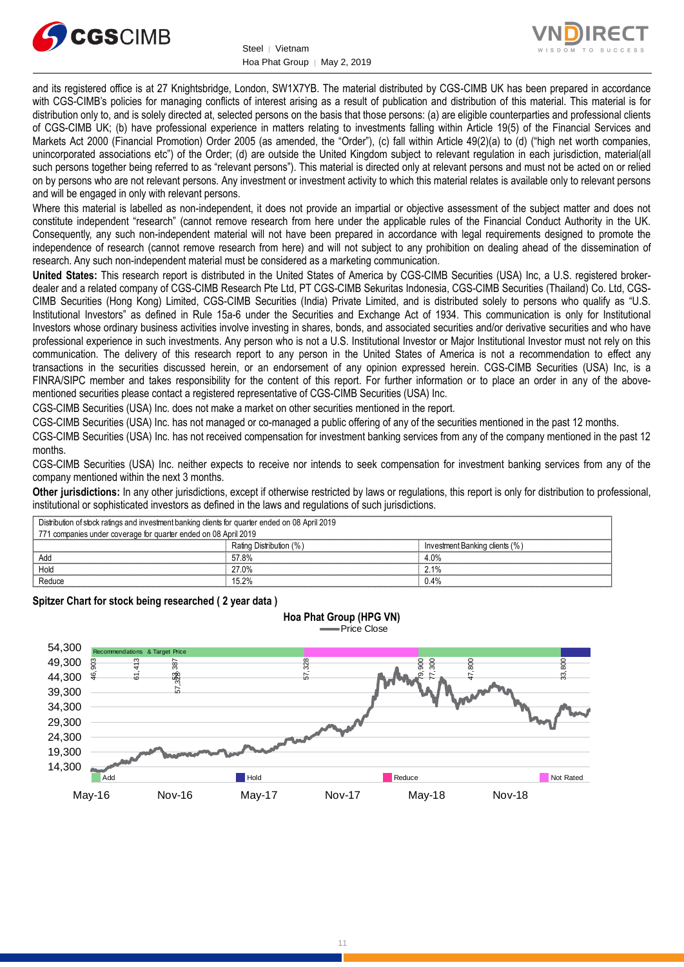



and its registered office is at 27 Knightsbridge, London, SW1X7YB. The material distributed by CGS-CIMB UK has been prepared in accordance with CGS-CIMB's policies for managing conflicts of interest arising as a result of publication and distribution of this material. This material is for distribution only to, and is solely directed at, selected persons on the basis that those persons: (a) are eligible counterparties and professional clients of CGS-CIMB UK; (b) have professional experience in matters relating to investments falling within Article 19(5) of the Financial Services and Markets Act 2000 (Financial Promotion) Order 2005 (as amended, the "Order"), (c) fall within Article 49(2)(a) to (d) ("high net worth companies, unincorporated associations etc") of the Order; (d) are outside the United Kingdom subject to relevant regulation in each jurisdiction, material(all such persons together being referred to as "relevant persons"). This material is directed only at relevant persons and must not be acted on or relied on by persons who are not relevant persons. Any investment or investment activity to which this material relates is available only to relevant persons and will be engaged in only with relevant persons.

Where this material is labelled as non-independent, it does not provide an impartial or objective assessment of the subject matter and does not constitute independent "research" (cannot remove research from here under the applicable rules of the Financial Conduct Authority in the UK. Consequently, any such non-independent material will not have been prepared in accordance with legal requirements designed to promote the independence of research (cannot remove research from here) and will not subject to any prohibition on dealing ahead of the dissemination of research. Any such non-independent material must be considered as a marketing communication.

**United States:** This research report is distributed in the United States of America by CGS-CIMB Securities (USA) Inc, a U.S. registered brokerdealer and a related company of CGS-CIMB Research Pte Ltd, PT CGS-CIMB Sekuritas Indonesia, CGS-CIMB Securities (Thailand) Co. Ltd, CGS-CIMB Securities (Hong Kong) Limited, CGS-CIMB Securities (India) Private Limited, and is distributed solely to persons who qualify as "U.S. Institutional Investors" as defined in Rule 15a-6 under the Securities and Exchange Act of 1934. This communication is only for Institutional Investors whose ordinary business activities involve investing in shares, bonds, and associated securities and/or derivative securities and who have professional experience in such investments. Any person who is not a U.S. Institutional Investor or Major Institutional Investor must not rely on this communication. The delivery of this research report to any person in the United States of America is not a recommendation to effect any transactions in the securities discussed herein, or an endorsement of any opinion expressed herein. CGS-CIMB Securities (USA) Inc, is a FINRA/SIPC member and takes responsibility for the content of this report. For further information or to place an order in any of the abovementioned securities please contact a registered representative of CGS-CIMB Securities (USA) Inc.

CGS-CIMB Securities (USA) Inc. does not make a market on other securities mentioned in the report.

CGS-CIMB Securities (USA) Inc. has not managed or co-managed a public offering of any of the securities mentioned in the past 12 months.

CGS-CIMB Securities (USA) Inc. has not received compensation for investment banking services from any of the company mentioned in the past 12 months.

CGS-CIMB Securities (USA) Inc. neither expects to receive nor intends to seek compensation for investment banking services from any of the company mentioned within the next 3 months.

Other jurisdictions: In any other jurisdictions, except if otherwise restricted by laws or regulations, this report is only for distribution to professional, institutional or sophisticated investors as defined in the laws and regulations of such jurisdictions.

| Distribution of stock ratings and investment banking clients for quarter ended on 08 April 2019<br>771 companies under coverage for quarter ended on 08 April 2019 |                         |                                |  |  |
|--------------------------------------------------------------------------------------------------------------------------------------------------------------------|-------------------------|--------------------------------|--|--|
|                                                                                                                                                                    | Rating Distribution (%) | Investment Banking clients (%) |  |  |
| Adc                                                                                                                                                                | 57.8%                   | 4.0%                           |  |  |
| Hold                                                                                                                                                               | 27.0%                   | 21%                            |  |  |
| Reduce                                                                                                                                                             | 15 2%                   | 0.4%                           |  |  |

**Spitzer Chart for stock being researched ( 2 year data )** 

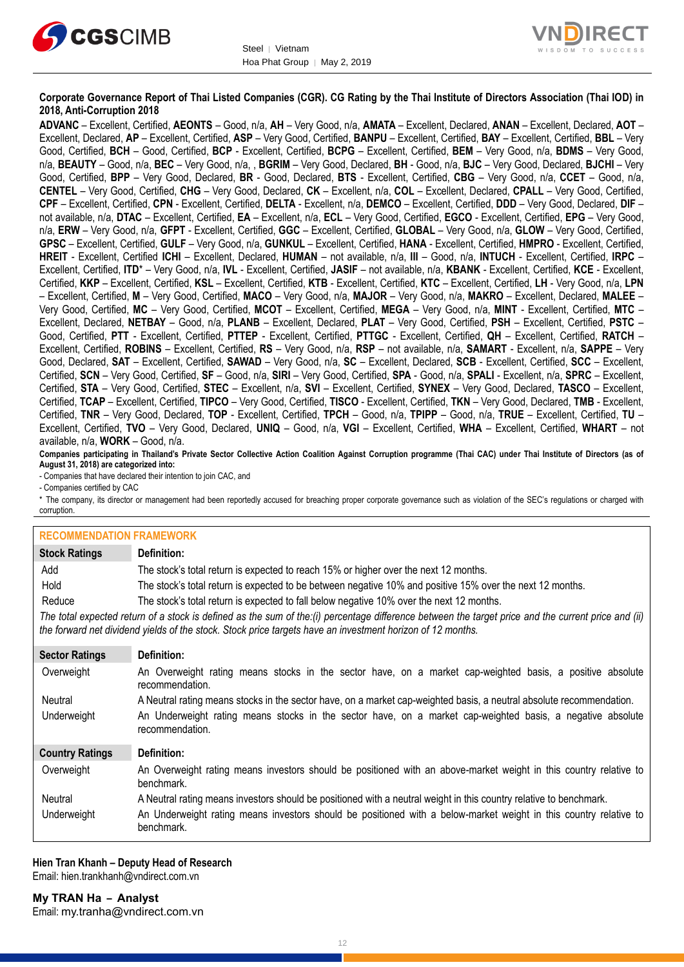



#### **Corporate Governance Report of Thai Listed Companies (CGR). CG Rating by the Thai Institute of Directors Association (Thai IOD) in 2018, Anti-Corruption 2018**

**ADVANC** – Excellent, Certified, **AEONTS** – Good, n/a, **AH** – Very Good, n/a, **AMATA** – Excellent, Declared, **ANAN** – Excellent, Declared, **AOT** – Excellent, Declared, **AP** – Excellent, Certified, **ASP** – Very Good, Certified, **BANPU** – Excellent, Certified, **BAY** – Excellent, Certified, **BBL** – Very Good, Certified, **BCH** – Good, Certified, **BCP** - Excellent, Certified, **BCPG** – Excellent, Certified, **BEM** – Very Good, n/a, **BDMS** – Very Good, n/a, **BEAUTY** – Good, n/a, **BEC** – Very Good, n/a, , **BGRIM** – Very Good, Declared, **BH** - Good, n/a, **BJC** – Very Good, Declared, **BJCHI** – Very Good, Certified, **BPP** – Very Good, Declared, **BR** - Good, Declared, **BTS** - Excellent, Certified, **CBG** – Very Good, n/a, **CCET** – Good, n/a, **CENTEL** – Very Good, Certified, **CHG** – Very Good, Declared, **CK** – Excellent, n/a, **COL** – Excellent, Declared, **CPALL** – Very Good, Certified, **CPF** – Excellent, Certified, **CPN** - Excellent, Certified, **DELTA** - Excellent, n/a, **DEMCO** – Excellent, Certified, **DDD** – Very Good, Declared, **DIF** – not available, n/a, **DTAC** – Excellent, Certified, **EA** – Excellent, n/a, **ECL** – Very Good, Certified, **EGCO** - Excellent, Certified, **EPG** – Very Good, n/a, **ERW** – Very Good, n/a, **GFPT** - Excellent, Certified, **GGC** – Excellent, Certified, **GLOBAL** – Very Good, n/a, **GLOW** – Very Good, Certified, **GPSC** – Excellent, Certified, **GULF** – Very Good, n/a, **GUNKUL** – Excellent, Certified, **HANA** - Excellent, Certified, **HMPRO** - Excellent, Certified, **HREIT** - Excellent, Certified **ICHI** – Excellent, Declared, **HUMAN** – not available, n/a, **III** – Good, n/a, **INTUCH** - Excellent, Certified, **IRPC** – Excellent, Certified, **ITD**\* – Very Good, n/a, **IVL** - Excellent, Certified, **JASIF** – not available, n/a, **KBANK** - Excellent, Certified, **KCE** - Excellent, Certified, **KKP** – Excellent, Certified, **KSL** – Excellent, Certified, **KTB** - Excellent, Certified, **KTC** – Excellent, Certified, **LH** - Very Good, n/a, **LPN** – Excellent, Certified, **M** – Very Good, Certified, **MACO** – Very Good, n/a, **MAJOR** – Very Good, n/a, **MAKRO** – Excellent, Declared, **MALEE** – Very Good, Certified, **MC** – Very Good, Certified, **MCOT** – Excellent, Certified, **MEGA** – Very Good, n/a, **MINT** - Excellent, Certified, **MTC** – Excellent, Declared, **NETBAY** – Good, n/a, **PLANB** – Excellent, Declared, **PLAT** – Very Good, Certified, **PSH** – Excellent, Certified, **PSTC** – Good, Certified, **PTT** - Excellent, Certified, **PTTEP** - Excellent, Certified, **PTTGC** - Excellent, Certified, **QH** – Excellent, Certified, **RATCH** – Excellent, Certified, **ROBINS** – Excellent, Certified, **RS** – Very Good, n/a, **RSP** – not available, n/a, **SAMART** - Excellent, n/a, **SAPPE** – Very Good, Declared, **SAT** – Excellent, Certified, **SAWAD** – Very Good, n/a, **SC** – Excellent, Declared, **SCB** - Excellent, Certified, **SCC** – Excellent, Certified, **SCN** – Very Good, Certified, **SF** – Good, n/a, **SIRI** – Very Good, Certified, **SPA** - Good, n/a, **SPALI** - Excellent, n/a, **SPRC** – Excellent, Certified, **STA** – Very Good, Certified, **STEC** – Excellent, n/a, **SVI** – Excellent, Certified, **SYNEX** – Very Good, Declared, **TASCO** – Excellent, Certified, **TCAP** – Excellent, Certified, **TIPCO** – Very Good, Certified, **TISCO** - Excellent, Certified, **TKN** – Very Good, Declared, **TMB** - Excellent, Certified, **TNR** – Very Good, Declared, **TOP** - Excellent, Certified, **TPCH** – Good, n/a, **TPIPP** – Good, n/a, **TRUE** – Excellent, Certified, **TU** – Excellent, Certified, **TVO** – Very Good, Declared, **UNIQ** – Good, n/a, **VGI** – Excellent, Certified, **WHA** – Excellent, Certified, **WHART** – not available, n/a, **WORK** – Good, n/a.

**Companies participating in Thailand's Private Sector Collective Action Coalition Against Corruption programme (Thai CAC) under Thai Institute of Directors (as of August 31, 2018) are categorized into:**

- Companies that have declared their intention to join CAC, and

- Companies certified by CAC

\* The company, its director or management had been reportedly accused for breaching proper corporate governance such as violation of the SEC's regulations or charged with corruption.

| <b>RECOMMENDATION FRAMEWORK</b>                                                                                                                                                                                                                                   |                                                                                                                                 |  |  |
|-------------------------------------------------------------------------------------------------------------------------------------------------------------------------------------------------------------------------------------------------------------------|---------------------------------------------------------------------------------------------------------------------------------|--|--|
| <b>Stock Ratings</b>                                                                                                                                                                                                                                              | Definition:                                                                                                                     |  |  |
| Add                                                                                                                                                                                                                                                               | The stock's total return is expected to reach 15% or higher over the next 12 months.                                            |  |  |
| Hold                                                                                                                                                                                                                                                              | The stock's total return is expected to be between negative 10% and positive 15% over the next 12 months.                       |  |  |
| Reduce                                                                                                                                                                                                                                                            | The stock's total return is expected to fall below negative 10% over the next 12 months.                                        |  |  |
| The total expected return of a stock is defined as the sum of the:(i) percentage difference between the target price and the current price and (ii)<br>the forward net dividend yields of the stock. Stock price targets have an investment horizon of 12 months. |                                                                                                                                 |  |  |
| <b>Sector Ratings</b>                                                                                                                                                                                                                                             | Definition:                                                                                                                     |  |  |
| Overweight                                                                                                                                                                                                                                                        | An Overweight rating means stocks in the sector have, on a market cap-weighted basis, a positive absolute<br>recommendation.    |  |  |
| Neutral                                                                                                                                                                                                                                                           | A Neutral rating means stocks in the sector have, on a market cap-weighted basis, a neutral absolute recommendation.            |  |  |
| Underweight                                                                                                                                                                                                                                                       | An Underweight rating means stocks in the sector have, on a market cap-weighted basis, a negative absolute<br>recommendation.   |  |  |
| <b>Country Ratings</b>                                                                                                                                                                                                                                            | Definition:                                                                                                                     |  |  |
| Overweight                                                                                                                                                                                                                                                        | An Overweight rating means investors should be positioned with an above-market weight in this country relative to<br>benchmark. |  |  |
| Neutral                                                                                                                                                                                                                                                           | A Neutral rating means investors should be positioned with a neutral weight in this country relative to benchmark.              |  |  |
| Underweight                                                                                                                                                                                                                                                       | An Underweight rating means investors should be positioned with a below-market weight in this country relative to<br>benchmark. |  |  |

**Hien Tran Khanh – Deputy Head of Research** Email[: hien.trankhanh@vndirect.com.vn](mailto:hien.trankhanh@vndirect.com.vn)

**My TRAN Ha – Analyst** Email: [my.tranha@vndirect.com.vn](mailto:my.tranha@vndirect.com.vn)